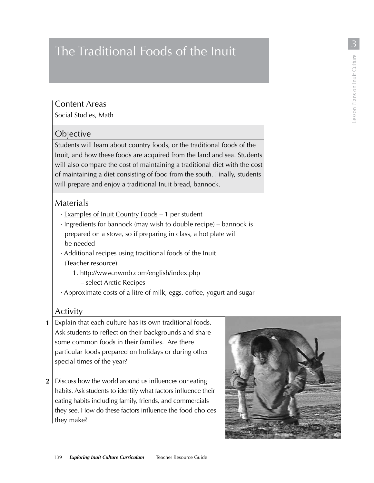# The Traditional Foods of the Inuit  $\frac{3}{\frac{2}{3}}$ <br>
Content Areas<br>
Social Studies, Math

### Content Areas

Social Studies, Math

## **Objective**

Students will learn about country foods, or the traditional foods of the Inuit, and how these foods are acquired from the land and sea. Students will also compare the cost of maintaining a traditional diet with the cost of maintaining a diet consisting of food from the south. Finally, students will prepare and enjoy a traditional Inuit bread, bannock.

# Materials

- · Examples of Inuit Country Foods 1 per student
- · Ingredients for bannock (may wish to double recipe) bannock is prepared on a stove, so if preparing in class, a hot plate will be needed
- · Additional recipes using traditional foods of the Inuit (Teacher resource)
	- 1. http://www.nwmb.com/english/index.php
		- select Arctic Recipes
- · Approximate costs of a litre of milk, eggs, coffee, yogurt and sugar

# Activity

- **1** Explain that each culture has its own traditional foods. Ask students to reflect on their backgrounds and share some common foods in their families. Are there particular foods prepared on holidays or during other special times of the year?
- Discuss how the world around us influences our eating **2** habits. Ask students to identify what factors influence their eating habits including family, friends, and commercials they see. How do these factors influence the food choices they make?

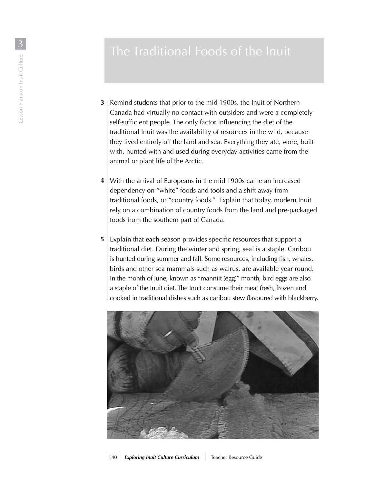- **3** | Remind students that prior to the mid 1900s, the Inuit of Northern Canada had virtually no contact with outsiders and were a completely self-sufficient people. The only factor influencing the diet of the traditional Inuit was the availability of resources in the wild, because they lived entirely off the land and sea. Everything they ate, wore, built with, hunted with and used during everyday activities came from the animal or plant life of the Arctic. The Traditional Foods of the Inuit<br>  $\frac{1}{2}$ <br>  $\frac{2}{3}$ <br>  $\frac{2}{3}$ <br>  $\frac{2}{3}$ <br>  $\frac{2}{3}$ <br>  $\frac{2}{3}$ <br>  $\frac{2}{3}$ <br>  $\frac{2}{3}$ <br>  $\frac{2}{3}$ <br>  $\frac{2}{3}$ <br>  $\frac{2}{3}$ <br>  $\frac{2}{3}$ <br>  $\frac{2}{3}$ <br>  $\frac{2}{3}$ <br>  $\frac{2}{3}$ <br>  $\frac{2}{3}$ <br>  $\frac{2}{3}$ <br>
	- **4** | With the arrival of Europeans in the mid 1900s came an increased dependency on "white" foods and tools and a shift away from traditional foods, or "country foods." Explain that today, modern Inuit rely on a combination of country foods from the land and pre-packaged foods from the southern part of Canada.
	- **5** Explain that each season provides specific resources that support a traditional diet. During the winter and spring, seal is a staple. Caribou is hunted during summer and fall. Some resources, including fish, whales, birds and other sea mammals such as walrus, are available year round. In the month of June, known as "manniit (egg)" month, bird eggs are also a staple of the Inuit diet. The Inuit consume their meat fresh, frozen and cooked in traditional dishes such as caribou stew flavoured with blackberry.

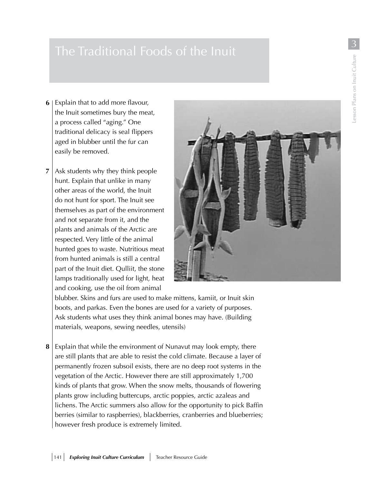- Explain that to add more flavour, 6 the Inuit sometimes bury the meat, a process called "aging." One traditional delicacy is seal flippers aged in blubber until the fur can easily be removed.
- **6**<br>8  $\overline{7}$ Ask students why they think people hunt. Explain that unlike in many other areas of the world, the Inuit do not hunt for sport. The Inuit see themselves as part of the environment and not separate from it, and the plants and animals of the Arctic are respected. Very little of the animal hunted goes to waste. Nutritious meat from hunted animals is still a central part of the Inuit diet. Qulliit, the stone lamps traditionally used for light, heat and cooking, use the oil from animal



blubber. Skins and furs are used to make mittens, kamiit, or Inuit skin boots, and parkas. Even the bones are used for a variety of purposes. Ask students what uses they think animal bones may have. (Building materials, weapons, sewing needles, utensils)

8 Explain that while the environment of Nunavut may look empty, there are still plants that are able to resist the cold climate. Because a layer of permanently frozen subsoil exists, there are no deep root systems in the vegetation of the Arctic. However there are still approximately 1,700 kinds of plants that grow. When the snow melts, thousands of flowering plants grow including buttercups, arctic poppies, arctic azaleas and lichens. The Arctic summers also allow for the opportunity to pick Baffin berries (similar to raspberries), blackberries, cranberries and blueberries; however fresh produce is extremely limited.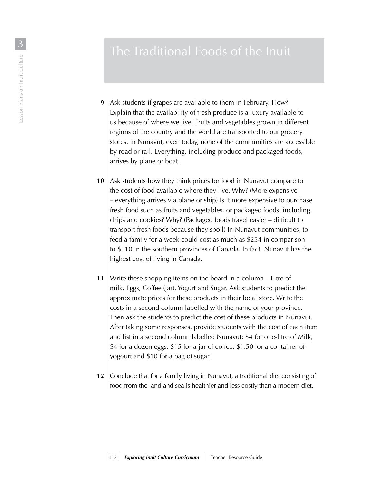- **9** | Ask students if grapes are available to them in February. How? Explain that the availability of fresh produce is a luxury available to us because of where we live. Fruits and vegetables grown in different regions of the country and the world are transported to our grocery stores. In Nunavut, even today, none of the communities are accessible by road or rail. Everything, including produce and packaged foods, arrives by plane or boat.
- **10** Ask students how they think prices for food in Nunavut compare to the cost of food available where they live. Why? (More expensive – everything arrives via plane or ship) Is it more expensive to purchase fresh food such as fruits and vegetables, or packaged foods, including chips and cookies? Why? (Packaged foods travel easier – difficult to transport fresh foods because they spoil) In Nunavut communities, to feed a family for a week could cost as much as \$254 in comparison to \$110 in the southern provinces of Canada. In fact, Nunavut has the highest cost of living in Canada.
- Write these shopping items on the board in a column Litre of milk, Eggs, Coffee (jar), Yogurt and Sugar. Ask students to predict the approximate prices for these products in their local store. Write the costs in a second column labelled with the name of your province. Then ask the students to predict the cost of these products in Nunavut. After taking some responses, provide students with the cost of each item and list in a second column labelled Nunavut: \$4 for one-litre of Milk, \$4 for a dozen eggs, \$15 for a jar of coffee, \$1.50 for a container of yogourt and \$10 for a bag of sugar. **11**
- **12** Conclude that for a family living in Nunavut, a traditional diet consisting of food from the land and sea is healthier and less costly than a modern diet.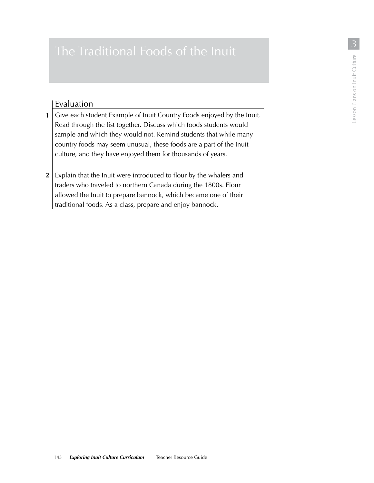# Evaluation

- **1** Give each student **Example of Inuit Country Foods** enjoyed by the Inuit. Read through the list together. Discuss which foods students would sample and which they would not. Remind students that while many country foods may seem unusual, these foods are a part of the Inuit culture, and they have enjoyed them for thousands of years.
- $2 \mid$  Explain that the Inuit were introduced to flour by the whalers and traders who traveled to northern Canada during the 1800s. Flour allowed the Inuit to prepare bannock, which became one of their traditional foods. As a class, prepare and enjoy bannock.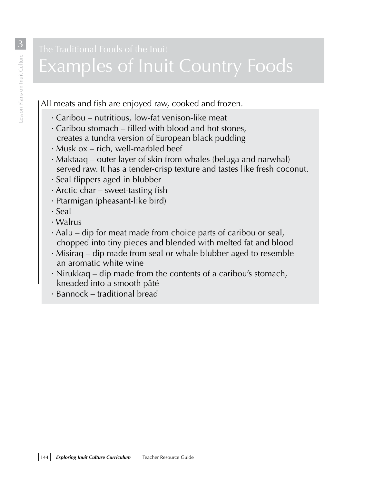# Examples of Inuit Country Foods

All meats and fish are enjoyed raw, cooked and frozen.

- · Caribou nutritious, low-fat venison-like meat
- · Caribou stomach filled with blood and hot stones, creates a tundra version of European black pudding
- · Musk ox rich, well-marbled beef
- · Maktaaq outer layer of skin from whales (beluga and narwhal) served raw. It has a tender-crisp texture and tastes like fresh coconut.
- · Seal flippers aged in blubber
- · Arctic char sweet-tasting fish
- · Ptarmigan (pheasant-like bird)
- · Seal
- · Walrus
- · Aalu dip for meat made from choice parts of caribou or seal, chopped into tiny pieces and blended with melted fat and blood
- · Misiraq dip made from seal or whale blubber aged to resemble an aromatic white wine
- · Nirukkaq dip made from the contents of a caribou's stomach, kneaded into a smooth pâté
- · Bannock traditional bread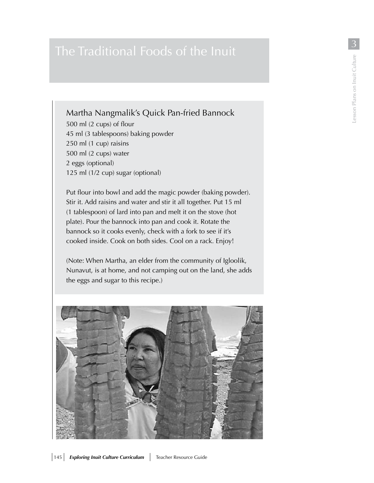# Martha Nangmalik's Quick Pan-fried Bannock

500 ml (2 cups) of flour 45 ml (3 tablespoons) baking powder 250 ml (1 cup) raisins 500 ml (2 cups) water 2 eggs (optional) 125 ml (1/2 cup) sugar (optional)

Put flour into bowl and add the magic powder (baking powder). Stir it. Add raisins and water and stir it all together. Put 15 ml (1 tablespoon) of lard into pan and melt it on the stove (hot plate). Pour the bannock into pan and cook it. Rotate the bannock so it cooks evenly, check with a fork to see if it's cooked inside. Cook on both sides. Cool on a rack. Enjoy!

(Note: When Martha, an elder from the community of Igloolik, Nunavut, is at home, and not camping out on the land, she adds the eggs and sugar to this recipe.)